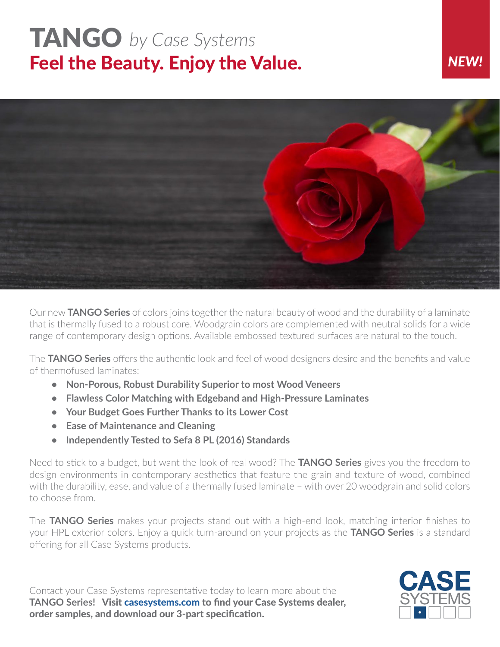## TANGO *by Case Systems* Feel the Beauty. Enjoy the Value.

## *NEW!*



Our new **TANGO Series** of colors joins together the natural beauty of wood and the durability of a laminate that is thermally fused to a robust core. Woodgrain colors are complemented with neutral solids for a wide range of contemporary design options. Available embossed textured surfaces are natural to the touch.

The **TANGO Series** offers the authentic look and feel of wood designers desire and the benefits and value of thermofused laminates:

- **• Non-Porous, Robust Durability Superior to most Wood Veneers**
- **• Flawless Color Matching with Edgeband and High-Pressure Laminates**
- **• Your Budget Goes Further Thanks to its Lower Cost**
- **• Ease of Maintenance and Cleaning**
- **• Independently Tested to Sefa 8 PL (2016) Standards**

Need to stick to a budget, but want the look of real wood? The **TANGO Series** gives you the freedom to design environments in contemporary aesthetics that feature the grain and texture of wood, combined with the durability, ease, and value of a thermally fused laminate – with over 20 woodgrain and solid colors to choose from.

The **TANGO Series** makes your projects stand out with a high-end look, matching interior finishes to your HPL exterior colors. Enjoy a quick turn-around on your projects as the **TANGO Series** is a standard offering for all Case Systems products.

Contact your Case Systems representative today to learn more about the **TANGO Series!** Visit [casesystems.com](https://www.casesystems.com/resources/materials/laminates/tango/) to find your Case Systems dealer, order samples, and download our 3-part specification.